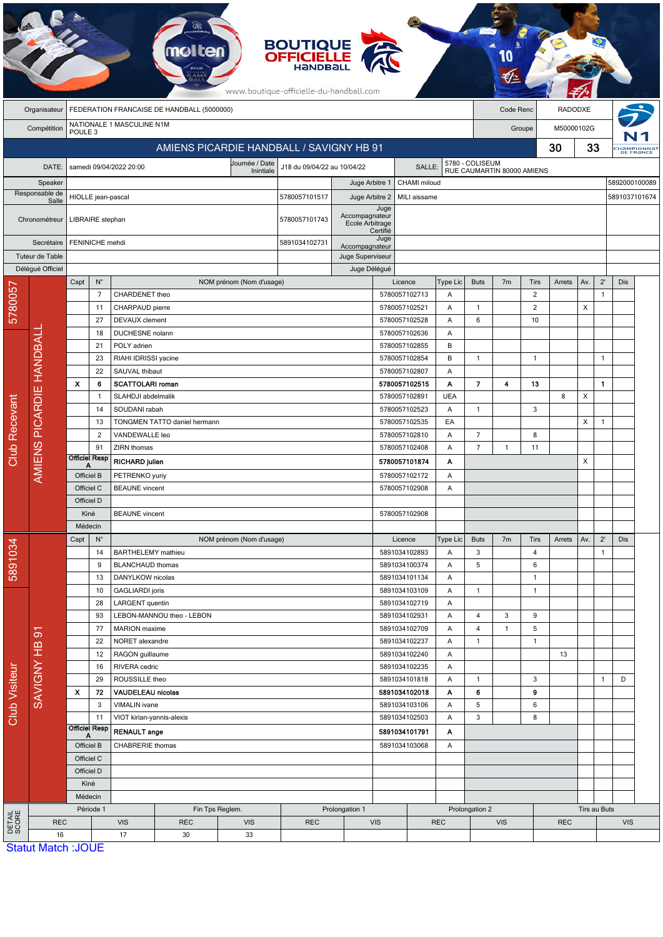|                           | <b>BOUTIQUE</b><br><b>OFFICIELLE</b><br><b>Handba</b><br>www.boutique-officielle-du-handball.com |                                                                                           |                           |                                        |                              |                          |                                 |                                          |                                |                                |                 |                            |                     |                   |         |              |                |     |                                |
|---------------------------|--------------------------------------------------------------------------------------------------|-------------------------------------------------------------------------------------------|---------------------------|----------------------------------------|------------------------------|--------------------------|---------------------------------|------------------------------------------|--------------------------------|--------------------------------|-----------------|----------------------------|---------------------|-------------------|---------|--------------|----------------|-----|--------------------------------|
|                           | Organisateur                                                                                     | FEDERATION FRANCAISE DE HANDBALL (5000000)                                                |                           |                                        |                              |                          |                                 |                                          |                                |                                |                 |                            | Code Renc           |                   | RADODXE |              |                |     |                                |
|                           | Compétition                                                                                      | NATIONALE 1 MASCULINE N1M<br>POULE 3                                                      |                           |                                        |                              |                          |                                 |                                          |                                |                                |                 |                            | Groupe              | M50000102G        |         |              |                |     |                                |
|                           |                                                                                                  | AMIENS PICARDIE HANDBALL / SAVIGNY HB 91                                                  |                           |                                        |                              |                          |                                 |                                          |                                |                                |                 |                            |                     |                   | 30      | 33           |                |     | <b>Hampionnal</b><br>DE FRANCE |
|                           | DATE:                                                                                            | Journée / Date<br>J18 du 09/04/22 au 10/04/22<br>samedi 09/04/2022 20:00<br><b>SALLE:</b> |                           |                                        |                              |                          |                                 |                                          |                                |                                |                 | 5780 - COLISEUM            |                     |                   |         |              |                |     |                                |
| Speaker<br>Responsable de |                                                                                                  |                                                                                           |                           |                                        |                              | Inintiale                |                                 |                                          | Juge Arbitre 1                 | CHAMI miloud                   |                 | RUE CAUMARTIN 80000 AMIENS |                     |                   |         |              | 5892000100089  |     |                                |
|                           |                                                                                                  |                                                                                           |                           | HIOLLE jean-pascal                     |                              |                          | 5780057101517<br>Juge Arbitre 2 |                                          |                                | MILI aissame                   |                 |                            |                     |                   |         |              | 5891037101674  |     |                                |
|                           | Salle                                                                                            |                                                                                           |                           |                                        |                              |                          |                                 |                                          | Juge                           |                                |                 |                            |                     |                   |         |              |                |     |                                |
|                           | Chronométreur                                                                                    |                                                                                           | LIBRAIRE stephan          |                                        |                              |                          | 5780057101743                   | Accompagnateur<br><b>Ecole Arbitrage</b> |                                |                                |                 |                            |                     |                   |         |              |                |     |                                |
| Secrétaire                |                                                                                                  | FENINICHE mehdi                                                                           |                           |                                        |                              |                          | 5891034102731                   |                                          | Certifié<br>Juge               |                                |                 |                            |                     |                   |         |              |                |     |                                |
|                           | Tuteur de Table                                                                                  |                                                                                           |                           |                                        |                              |                          |                                 | Accompagnateur<br>Juge Superviseur       |                                |                                |                 |                            |                     |                   |         |              |                |     |                                |
|                           | Délégué Officiel                                                                                 |                                                                                           |                           |                                        |                              |                          |                                 | Juge Délégué                             |                                |                                |                 |                            |                     |                   |         |              |                |     |                                |
|                           |                                                                                                  | Capt                                                                                      | $N^{\circ}$               |                                        |                              | NOM prénom (Nom d'usage) |                                 |                                          |                                | Licence                        | <b>Type Lic</b> | <b>Buts</b>                | 7 <sub>m</sub>      | Tirs              | Arrets  | Av.          | $2^{\prime}$   | Dis |                                |
| 5780057                   |                                                                                                  |                                                                                           | 7                         | CHARDENET theo                         |                              |                          |                                 |                                          |                                | 5780057102713                  | A               |                            |                     | $\overline{c}$    |         |              | $\mathbf{1}$   |     |                                |
|                           |                                                                                                  |                                                                                           | 11                        | CHARPAUD pierre                        |                              |                          |                                 |                                          |                                | 5780057102521                  | A               | 1                          |                     | $\overline{c}$    |         | X            |                |     |                                |
|                           |                                                                                                  | 27<br>18<br>21                                                                            |                           | <b>DEVAUX</b> clement                  |                              |                          |                                 |                                          |                                | 5780057102528                  | A               | 6                          |                     | 10                |         |              |                |     |                                |
|                           |                                                                                                  |                                                                                           |                           | DUCHESNE nolann                        |                              |                          |                                 |                                          |                                | 5780057102636                  | A               |                            |                     |                   |         |              |                |     |                                |
|                           |                                                                                                  |                                                                                           |                           | POLY adrien                            |                              |                          |                                 |                                          |                                | 5780057102855                  | B               |                            |                     |                   |         |              |                |     |                                |
|                           |                                                                                                  |                                                                                           | 23<br>22                  | RIAHI IDRISSI yacine<br>SAUVAL thibaut |                              |                          |                                 |                                          |                                | 5780057102854<br>5780057102807 | B<br>Α          | $\mathbf{1}$               |                     | $\overline{1}$    |         |              | $\overline{1}$ |     |                                |
|                           |                                                                                                  | x                                                                                         | 6                         | <b>SCATTOLARI roman</b>                |                              |                          |                                 |                                          |                                | 5780057102515                  | Α               | $\overline{\mathbf{z}}$    | 4                   | 13                |         |              | $\mathbf{1}$   |     |                                |
|                           |                                                                                                  |                                                                                           | $\mathbf{1}$              | SLAHDJI abdelmalik                     |                              |                          |                                 | 5780057102891                            |                                | <b>UEA</b>                     |                 |                            |                     | 8                 | X       |              |                |     |                                |
| Recevant                  |                                                                                                  |                                                                                           | 14                        | SOUDANI rabah                          |                              |                          |                                 |                                          |                                | 5780057102523                  | A               | $\mathbf{1}$               |                     | 3                 |         |              |                |     |                                |
|                           | AMIENS PICARDIE HANDBALI                                                                         |                                                                                           | 13                        |                                        | TONGMEN TATTO daniel hermann |                          |                                 |                                          |                                | 5780057102535<br>EA            |                 |                            |                     |                   |         | X            | $\overline{1}$ |     |                                |
|                           |                                                                                                  |                                                                                           | $\overline{2}$            | VANDEWALLE leo                         |                              |                          |                                 |                                          |                                | 5780057102810                  | A               | $\overline{7}$             |                     | 8                 |         |              |                |     |                                |
| Club                      |                                                                                                  |                                                                                           | 91                        |                                        | ZIRN thomas                  |                          |                                 |                                          |                                | 5780057102408                  | A               |                            | $\mathbf{1}$        | 11                |         |              |                |     |                                |
|                           |                                                                                                  |                                                                                           | <b>Officiel Resp</b><br>Α |                                        | <b>RICHARD julien</b>        |                          |                                 |                                          |                                | 5780057101874<br>Α             |                 |                            |                     |                   |         |              |                |     |                                |
|                           |                                                                                                  |                                                                                           | Officiel B                |                                        | PETRENKO yuriy               |                          |                                 |                                          |                                | 5780057102172<br>Α             |                 |                            |                     |                   |         |              |                |     |                                |
|                           |                                                                                                  |                                                                                           | Officiel C                | <b>BEAUNE</b> vincent                  |                              |                          |                                 | 5780057102908<br>Α                       |                                |                                |                 |                            |                     |                   |         |              |                |     |                                |
|                           |                                                                                                  | Officiel D                                                                                |                           |                                        |                              |                          |                                 |                                          |                                |                                |                 |                            |                     |                   |         |              |                |     |                                |
|                           |                                                                                                  | Kiné<br>Médecin                                                                           |                           | <b>BEAUNE</b> vincent                  |                              |                          |                                 |                                          | 5780057102908                  |                                |                 |                            |                     |                   |         |              |                |     |                                |
|                           |                                                                                                  | Capt<br>$N^{\circ}$                                                                       |                           |                                        |                              | NOM prénom (Nom d'usage) |                                 |                                          |                                | Licence                        | Type Lic        | <b>Buts</b>                | 7 <sub>m</sub>      | Tirs              | Arrets  | Av.          | $2^{\prime}$   | Dis |                                |
|                           |                                                                                                  |                                                                                           | 14                        | <b>BARTHELEMY</b> mathieu              |                              |                          |                                 |                                          |                                | 5891034102893                  | A               | 3                          |                     | 4                 |         |              | $\overline{1}$ |     |                                |
| 5891034                   |                                                                                                  |                                                                                           | 9                         | <b>BLANCHAUD thomas</b>                |                              |                          |                                 |                                          |                                | 5891034100374                  | Α               | 5                          |                     | 6                 |         |              |                |     |                                |
|                           |                                                                                                  |                                                                                           | 13                        | DANYLKOW nicolas                       |                              |                          |                                 |                                          |                                | 5891034101134                  | A               |                            |                     | $\mathbf{1}$      |         |              |                |     |                                |
|                           |                                                                                                  |                                                                                           | 10                        | <b>GAGLIARDI</b> joris                 |                              |                          |                                 |                                          |                                | 5891034103109                  | A               | $\mathbf{1}$               |                     | $\overline{1}$    |         |              |                |     |                                |
|                           |                                                                                                  |                                                                                           | 28                        | LARGENT quentin                        |                              |                          |                                 |                                          |                                | 5891034102719                  | Α               |                            |                     |                   |         |              |                |     |                                |
|                           |                                                                                                  |                                                                                           | 93                        | MARION maxime                          | LEBON-MANNOU theo - LEBON    |                          |                                 |                                          |                                | 5891034102931                  | Α               | 4<br>4                     | 3<br>$\overline{1}$ | 9                 |         |              |                |     |                                |
|                           | $\overline{5}$<br>SAVIGNY HB                                                                     |                                                                                           | 77<br>22                  |                                        | NORET alexandre              |                          |                                 |                                          | 5891034102709<br>5891034102237 |                                | A<br>A          | $\mathbf{1}$               |                     | 5<br>$\mathbf{1}$ |         |              |                |     |                                |
|                           |                                                                                                  |                                                                                           | 12                        | RAGON guillaume                        |                              |                          |                                 |                                          | 5891034102240                  |                                | Α               |                            |                     |                   | 13      |              |                |     |                                |
|                           |                                                                                                  |                                                                                           | 16                        | RIVERA cedric                          |                              |                          |                                 |                                          | 5891034102235<br>5891034101818 |                                | Α               |                            |                     |                   |         |              |                |     |                                |
|                           |                                                                                                  |                                                                                           | 29                        | ROUSSILLE theo                         |                              |                          |                                 |                                          |                                |                                | A               | $\mathbf{1}$               |                     | 3                 |         |              | $\overline{1}$ | D   |                                |
|                           |                                                                                                  | X                                                                                         | 72                        | VAUDELEAU nicolas                      |                              |                          |                                 |                                          |                                | 5891034102018                  | Α               | 6                          |                     | 9                 |         |              |                |     |                                |
| Club Visiteur             |                                                                                                  |                                                                                           | 3                         | VIMALIN ivane                          |                              |                          |                                 | 5891034103106                            |                                | Α                              | 5               |                            | 6                   |                   |         |              |                |     |                                |
|                           |                                                                                                  |                                                                                           | 11                        | VIOT kirian-yannis-alexis              |                              |                          |                                 |                                          | 5891034102503                  | Α                              | 3               |                            | 8                   |                   |         |              |                |     |                                |
|                           |                                                                                                  |                                                                                           | <b>Officiel Resp</b><br>Α | <b>RENAULT</b> ange                    |                              |                          |                                 | 5891034101791                            |                                | Α                              |                 |                            |                     |                   |         |              |                |     |                                |
|                           |                                                                                                  | Officiel B                                                                                |                           | CHABRERIE thomas                       |                              |                          |                                 |                                          | 5891034103068                  |                                | A               |                            |                     |                   |         |              |                |     |                                |
|                           |                                                                                                  |                                                                                           | Officiel C                |                                        |                              |                          |                                 |                                          |                                |                                |                 |                            |                     |                   |         |              |                |     |                                |
|                           |                                                                                                  |                                                                                           | Officiel D<br>Kiné        |                                        |                              |                          |                                 |                                          |                                |                                |                 |                            |                     |                   |         |              |                |     |                                |
|                           |                                                                                                  |                                                                                           | Médecin                   |                                        |                              |                          |                                 |                                          |                                |                                |                 |                            |                     |                   |         |              |                |     |                                |
| DETAIL<br>SCORE           |                                                                                                  |                                                                                           | Période 1                 |                                        | Fin Tps Reglem.              |                          |                                 | Prolongation 1                           |                                |                                |                 | Prolongation 2             |                     |                   |         | Tirs au Buts |                |     |                                |
|                           | <b>REC</b>                                                                                       |                                                                                           |                           | <b>VIS</b>                             | <b>REC</b>                   | <b>VIS</b>               | <b>REC</b>                      |                                          | <b>VIS</b>                     | <b>REC</b>                     |                 | <b>VIS</b>                 |                     | <b>REC</b>        |         |              | <b>VIS</b>     |     |                                |
|                           | 16                                                                                               |                                                                                           |                           | 17                                     | 30                           | 33                       |                                 |                                          |                                |                                |                 |                            |                     |                   |         |              |                |     |                                |
|                           | <b>Statut Match: JOUE</b>                                                                        |                                                                                           |                           |                                        |                              |                          |                                 |                                          |                                |                                |                 |                            |                     |                   |         |              |                |     |                                |